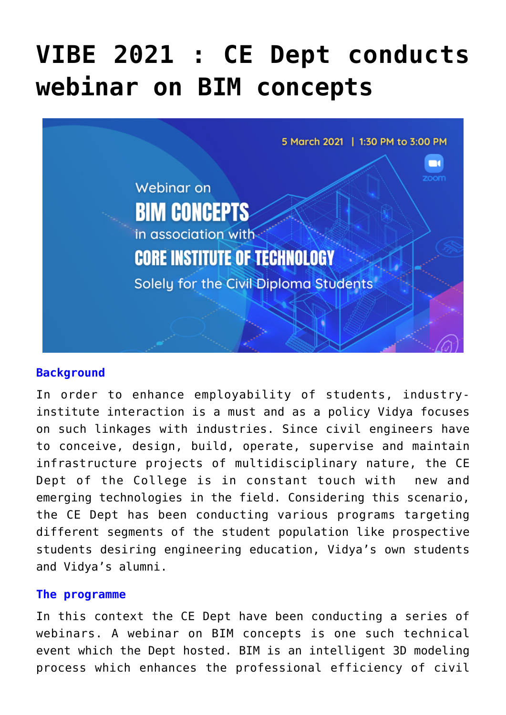# **[VIBE 2021 : CE Dept conducts](https://news.vidyaacademy.ac.in/2021/03/11/vibe-2021-ce-dept-conducts-webinar-on-bim-concepts/) [webinar on BIM concepts](https://news.vidyaacademy.ac.in/2021/03/11/vibe-2021-ce-dept-conducts-webinar-on-bim-concepts/)**



### **Background**

In order to enhance employability of students, industryinstitute interaction is a must and as a policy Vidya focuses on such linkages with industries. Since civil engineers have to conceive, design, build, operate, supervise and maintain infrastructure projects of multidisciplinary nature, the CE Dept of the College is in constant touch with new and emerging technologies in the field. Considering this scenario, the CE Dept has been conducting various programs targeting different segments of the student population like prospective students desiring engineering education, Vidya's own students and Vidya's alumni.

### **The programme**

In this context the CE Dept have been conducting a series of webinars. A webinar on BIM concepts is one such technical event which the Dept hosted. BIM is an intelligent 3D modeling process which enhances the professional efficiency of civil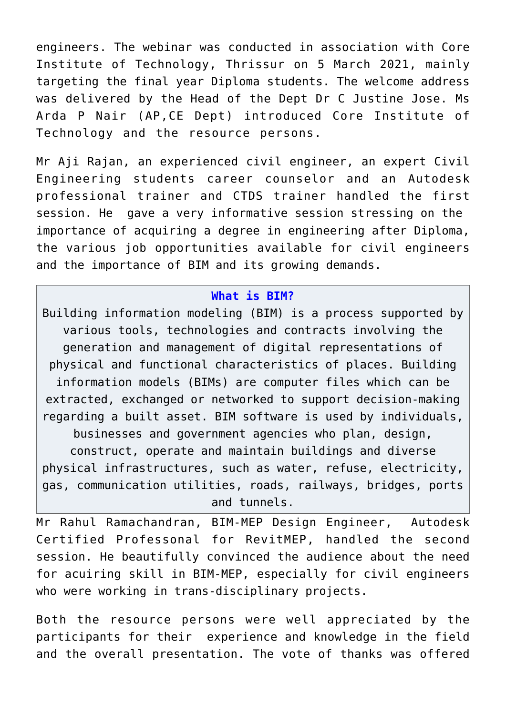engineers. The webinar was conducted in association with Core Institute of Technology, Thrissur on 5 March 2021, mainly targeting the final year Diploma students. The welcome address was delivered by the Head of the Dept Dr C Justine Jose. Ms Arda P Nair (AP,CE Dept) introduced Core Institute of Technology and the resource persons.

Mr Aji Rajan, an experienced civil engineer, an expert Civil Engineering students career counselor and an Autodesk professional trainer and CTDS trainer handled the first session. He gave a very informative session stressing on the importance of acquiring a degree in engineering after Diploma, the various job opportunities available for civil engineers and the importance of BIM and its growing demands.

#### **What is BIM?**

Building information modeling (BIM) is a process supported by various tools, technologies and contracts involving the generation and management of digital representations of physical and functional characteristics of places. Building information models (BIMs) are computer files which can be extracted, exchanged or networked to support decision-making regarding a built asset. BIM software is used by individuals, businesses and government agencies who plan, design, construct, operate and maintain buildings and diverse physical infrastructures, such as water, refuse, electricity, gas, communication utilities, roads, railways, bridges, ports and tunnels.

Mr Rahul Ramachandran, BIM-MEP Design Engineer, Autodesk Certified Professonal for RevitMEP, handled the second session. He beautifully convinced the audience about the need for acuiring skill in BIM-MEP, especially for civil engineers who were working in trans-disciplinary projects.

Both the resource persons were well appreciated by the participants for their experience and knowledge in the field and the overall presentation. The vote of thanks was offered